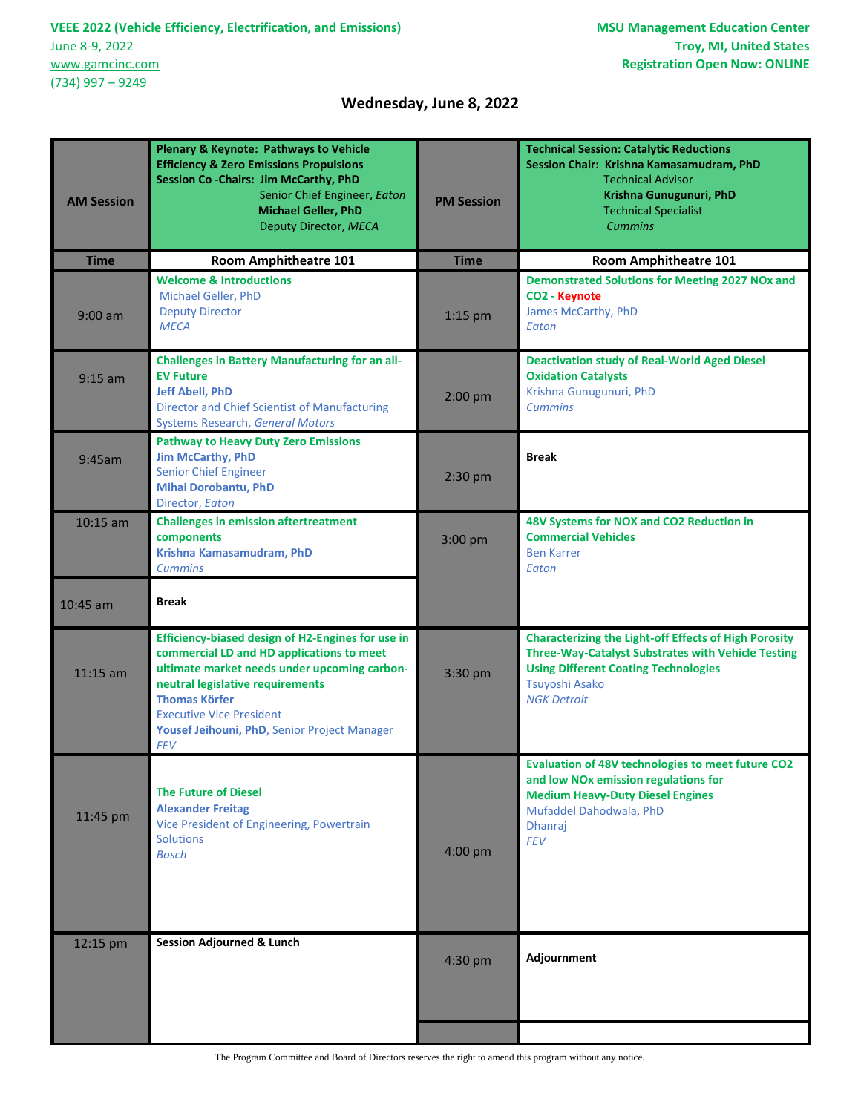$\overline{a}$ 

## **Wednesday, June 8, 2022**

| <b>AM Session</b> | <b>Plenary &amp; Keynote: Pathways to Vehicle</b><br><b>Efficiency &amp; Zero Emissions Propulsions</b><br>Session Co-Chairs: Jim McCarthy, PhD<br>Senior Chief Engineer, Eaton<br><b>Michael Geller, PhD</b><br>Deputy Director, MECA                                                                      | <b>PM Session</b> | <b>Technical Session: Catalytic Reductions</b><br>Session Chair: Krishna Kamasamudram, PhD<br><b>Technical Advisor</b><br>Krishna Gunugunuri, PhD<br><b>Technical Specialist</b><br><b>Cummins</b>               |
|-------------------|-------------------------------------------------------------------------------------------------------------------------------------------------------------------------------------------------------------------------------------------------------------------------------------------------------------|-------------------|------------------------------------------------------------------------------------------------------------------------------------------------------------------------------------------------------------------|
| <b>Time</b>       | <b>Room Amphitheatre 101</b>                                                                                                                                                                                                                                                                                | <b>Time</b>       | <b>Room Amphitheatre 101</b>                                                                                                                                                                                     |
| $9:00$ am         | <b>Welcome &amp; Introductions</b><br>Michael Geller, PhD<br><b>Deputy Director</b><br><b>MECA</b>                                                                                                                                                                                                          | $1:15$ pm         | <b>Demonstrated Solutions for Meeting 2027 NOx and</b><br>CO <sub>2</sub> - Keynote<br>James McCarthy, PhD<br>Eaton                                                                                              |
| $9:15$ am         | <b>Challenges in Battery Manufacturing for an all-</b><br><b>EV Future</b><br><b>Jeff Abell, PhD</b><br><b>Director and Chief Scientist of Manufacturing</b><br><b>Systems Research, General Motors</b>                                                                                                     | $2:00$ pm         | <b>Deactivation study of Real-World Aged Diesel</b><br><b>Oxidation Catalysts</b><br>Krishna Gunugunuri, PhD<br><b>Cummins</b>                                                                                   |
| 9:45am            | <b>Pathway to Heavy Duty Zero Emissions</b><br><b>Jim McCarthy, PhD</b><br>Senior Chief Engineer<br><b>Mihai Dorobantu, PhD</b><br>Director, Eaton                                                                                                                                                          | 2:30 pm           | <b>Break</b>                                                                                                                                                                                                     |
| $10:15$ am        | <b>Challenges in emission aftertreatment</b><br>components<br>Krishna Kamasamudram, PhD<br><b>Cummins</b>                                                                                                                                                                                                   | 3:00 pm           | 48V Systems for NOX and CO2 Reduction in<br><b>Commercial Vehicles</b><br><b>Ben Karrer</b><br>Eaton                                                                                                             |
| $10:45$ am        | <b>Break</b>                                                                                                                                                                                                                                                                                                |                   |                                                                                                                                                                                                                  |
| $11:15$ am        | Efficiency-biased design of H2-Engines for use in<br>commercial LD and HD applications to meet<br>ultimate market needs under upcoming carbon-<br>neutral legislative requirements<br><b>Thomas Körfer</b><br><b>Executive Vice President</b><br>Yousef Jeihouni, PhD, Senior Project Manager<br><b>FEV</b> | 3:30 pm           | <b>Characterizing the Light-off Effects of High Porosity</b><br><b>Three-Way-Catalyst Substrates with Vehicle Testing</b><br><b>Using Different Coating Technologies</b><br>Tsuyoshi Asako<br><b>NGK Detroit</b> |
| 11:45 pm          | <b>The Future of Diesel</b><br><b>Alexander Freitag</b><br>Vice President of Engineering, Powertrain<br><b>Solutions</b><br><b>Bosch</b>                                                                                                                                                                    | 4:00 pm           | Evaluation of 48V technologies to meet future CO2<br>and low NOx emission regulations for<br><b>Medium Heavy-Duty Diesel Engines</b><br>Mufaddel Dahodwala, PhD<br>Dhanraj<br><b>FEV</b>                         |
| 12:15 pm          | <b>Session Adjourned &amp; Lunch</b>                                                                                                                                                                                                                                                                        | 4:30 pm           | Adjournment                                                                                                                                                                                                      |

The Program Committee and Board of Directors reserves the right to amend this program without any notice.